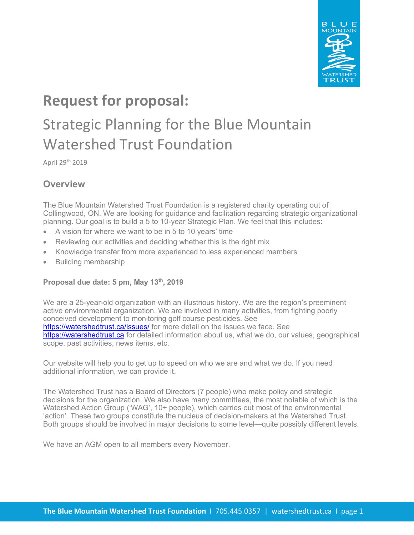

# **Request for proposal:**

# Strategic Planning for the Blue Mountain Watershed Trust Foundation

### **Overview**

The Blue Mountain Watershed Trust Foundation is a registered charity operating out of Collingwood, ON. We are looking for guidance and facilitation regarding strategic organizational planning. Our goal is to build a 5 to 10-year Strategic Plan. We feel that this includes:

- A vision for where we want to be in 5 to 10 years' time
- Reviewing our activities and deciding whether this is the right mix
- Knowledge transfer from more experienced to less experienced members
- Building membership

#### **Proposal due date: 5 pm, May 13th, 2019**

We are a 25-year-old organization with an illustrious history. We are the region's preeminent active environmental organization. We are involved in many activities, from fighting poorly conceived development to monitoring golf course pesticides. See https://watershedtrust.ca/issues/ for more detail on the issues we face. See https://watershedtrust.ca for detailed information about us, what we do, our values, geographical scope, past activities, news items, etc.

Our website will help you to get up to speed on who we are and what we do. If you need additional information, we can provide it.

The Watershed Trust has a Board of Directors (7 people) who make policy and strategic decisions for the organization. We also have many committees, the most notable of which is the Watershed Action Group ('WAG', 10+ people), which carries out most of the environmental 'action'. These two groups constitute the nucleus of decision-makers at the Watershed Trust. Both groups should be involved in major decisions to some level—quite possibly different levels.

We have an AGM open to all members every November.